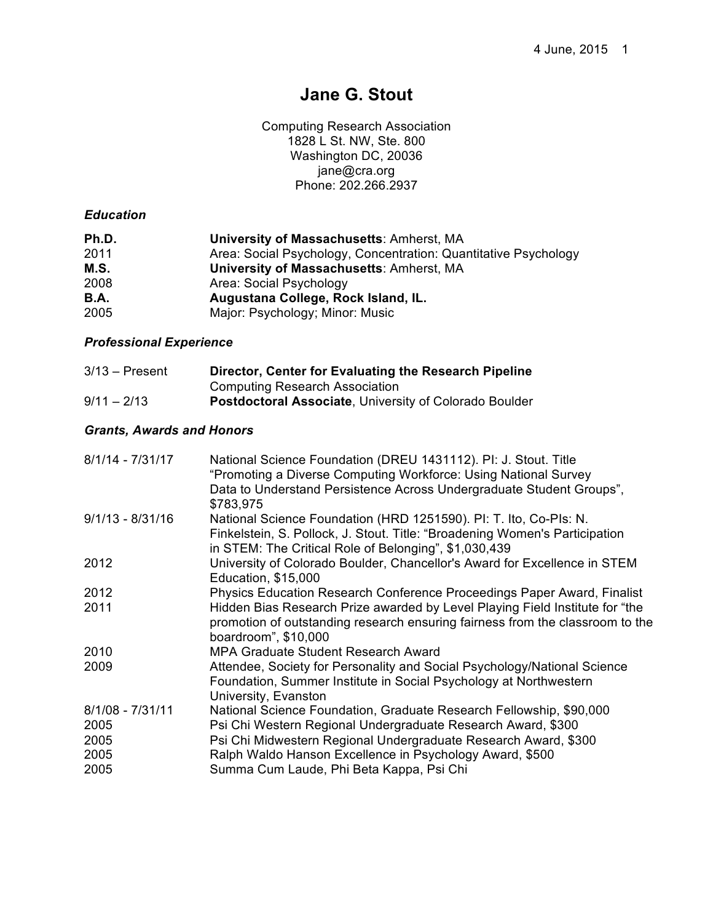# **Jane G. Stout**

Computing Research Association 1828 L St. NW, Ste. 800 Washington DC, 20036 jane@cra.org Phone: 202.266.2937

# *Education*

| Ph.D.       | <b>University of Massachusetts: Amherst, MA</b>                 |
|-------------|-----------------------------------------------------------------|
| 2011        | Area: Social Psychology, Concentration: Quantitative Psychology |
| M.S.        | <b>University of Massachusetts: Amherst, MA</b>                 |
| 2008        | Area: Social Psychology                                         |
| <b>B.A.</b> | Augustana College, Rock Island, IL.                             |
| 2005        | Major: Psychology; Minor: Music                                 |

# *Professional Experience*

| $3/13$ – Present | Director, Center for Evaluating the Research Pipeline         |
|------------------|---------------------------------------------------------------|
|                  | <b>Computing Research Association</b>                         |
| $9/11 - 2/13$    | <b>Postdoctoral Associate, University of Colorado Boulder</b> |

# *Grants, Awards and Honors*

| $8/1/14 - 7/31/17$ | National Science Foundation (DREU 1431112). PI: J. Stout. Title<br>"Promoting a Diverse Computing Workforce: Using National Survey<br>Data to Understand Persistence Across Undergraduate Student Groups",<br>\$783,975 |
|--------------------|-------------------------------------------------------------------------------------------------------------------------------------------------------------------------------------------------------------------------|
| $9/1/13 - 8/31/16$ | National Science Foundation (HRD 1251590). PI: T. Ito, Co-PIs: N.<br>Finkelstein, S. Pollock, J. Stout. Title: "Broadening Women's Participation<br>in STEM: The Critical Role of Belonging", \$1,030,439               |
| 2012               | University of Colorado Boulder, Chancellor's Award for Excellence in STEM<br>Education, \$15,000                                                                                                                        |
| 2012               | Physics Education Research Conference Proceedings Paper Award, Finalist                                                                                                                                                 |
| 2011               | Hidden Bias Research Prize awarded by Level Playing Field Institute for "the<br>promotion of outstanding research ensuring fairness from the classroom to the<br>boardroom", \$10,000                                   |
| 2010               | <b>MPA Graduate Student Research Award</b>                                                                                                                                                                              |
| 2009               | Attendee, Society for Personality and Social Psychology/National Science<br>Foundation, Summer Institute in Social Psychology at Northwestern<br>University, Evanston                                                   |
| $8/1/08 - 7/31/11$ | National Science Foundation, Graduate Research Fellowship, \$90,000                                                                                                                                                     |
| 2005               | Psi Chi Western Regional Undergraduate Research Award, \$300                                                                                                                                                            |
| 2005               | Psi Chi Midwestern Regional Undergraduate Research Award, \$300                                                                                                                                                         |
| 2005               | Ralph Waldo Hanson Excellence in Psychology Award, \$500                                                                                                                                                                |
| 2005               | Summa Cum Laude, Phi Beta Kappa, Psi Chi                                                                                                                                                                                |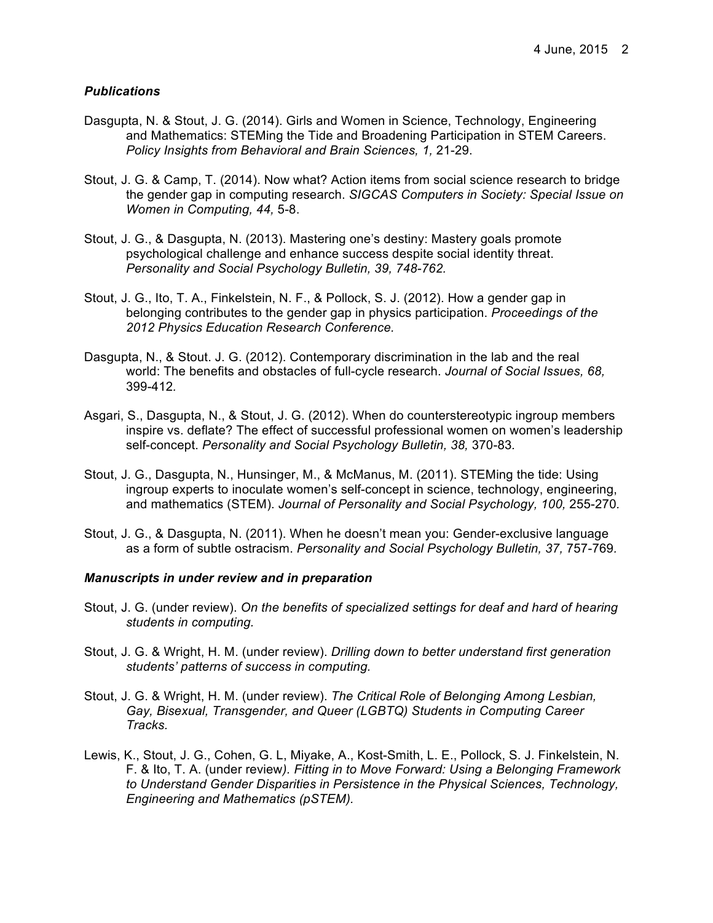## *Publications*

- Dasgupta, N. & Stout, J. G. (2014). Girls and Women in Science, Technology, Engineering and Mathematics: STEMing the Tide and Broadening Participation in STEM Careers. *Policy Insights from Behavioral and Brain Sciences, 1,* 21-29.
- Stout, J. G. & Camp, T. (2014). Now what? Action items from social science research to bridge the gender gap in computing research. *SIGCAS Computers in Society: Special Issue on Women in Computing, 44,* 5-8.
- Stout, J. G., & Dasgupta, N. (2013). Mastering one's destiny: Mastery goals promote psychological challenge and enhance success despite social identity threat. *Personality and Social Psychology Bulletin, 39, 748-762.*
- Stout, J. G., Ito, T. A., Finkelstein, N. F., & Pollock, S. J. (2012). How a gender gap in belonging contributes to the gender gap in physics participation. *Proceedings of the 2012 Physics Education Research Conference.*
- Dasgupta, N., & Stout. J. G. (2012). Contemporary discrimination in the lab and the real world: The benefits and obstacles of full-cycle research. *Journal of Social Issues, 68,*  399-412*.*
- Asgari, S., Dasgupta, N., & Stout, J. G. (2012). When do counterstereotypic ingroup members inspire vs. deflate? The effect of successful professional women on women's leadership self-concept. *Personality and Social Psychology Bulletin, 38,* 370-83*.*
- Stout, J. G., Dasgupta, N., Hunsinger, M., & McManus, M. (2011). STEMing the tide: Using ingroup experts to inoculate women's self-concept in science, technology, engineering, and mathematics (STEM). *Journal of Personality and Social Psychology, 100,* 255-270*.*
- Stout, J. G., & Dasgupta, N. (2011). When he doesn't mean you: Gender-exclusive language as a form of subtle ostracism. *Personality and Social Psychology Bulletin, 37,* 757-769*.*

#### *Manuscripts in under review and in preparation*

- Stout, J. G. (under review). *On the benefits of specialized settings for deaf and hard of hearing students in computing.*
- Stout, J. G. & Wright, H. M. (under review). *Drilling down to better understand first generation students' patterns of success in computing.*
- Stout, J. G. & Wright, H. M. (under review). *The Critical Role of Belonging Among Lesbian, Gay, Bisexual, Transgender, and Queer (LGBTQ) Students in Computing Career Tracks.*
- Lewis, K., Stout, J. G., Cohen, G. L, Miyake, A., Kost-Smith, L. E., Pollock, S. J. Finkelstein, N. F. & Ito, T. A. (under review*). Fitting in to Move Forward: Using a Belonging Framework to Understand Gender Disparities in Persistence in the Physical Sciences, Technology, Engineering and Mathematics (pSTEM).*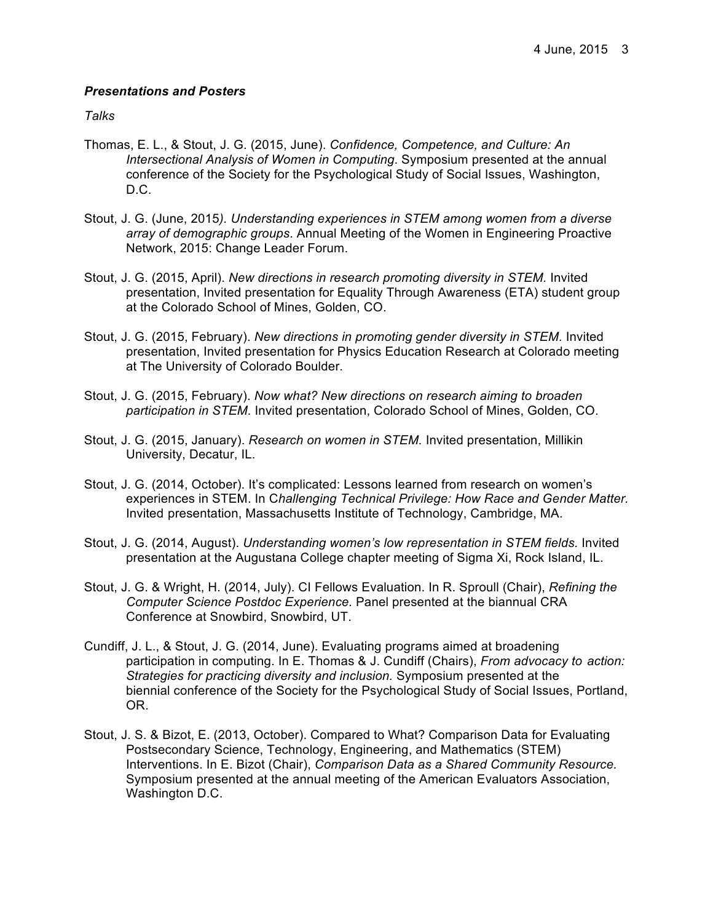## *Presentations and Posters*

*Talks*

- Thomas, E. L., & Stout, J. G. (2015, June). *Confidence, Competence, and Culture: An Intersectional Analysis of Women in Computing*. Symposium presented at the annual conference of the Society for the Psychological Study of Social Issues, Washington, D.C.
- Stout, J. G. (June, 2015*). Understanding experiences in STEM among women from a diverse array of demographic groups*. Annual Meeting of the Women in Engineering Proactive Network, 2015: Change Leader Forum.
- Stout, J. G. (2015, April). *New directions in research promoting diversity in STEM.* Invited presentation, Invited presentation for Equality Through Awareness (ETA) student group at the Colorado School of Mines, Golden, CO.
- Stout, J. G. (2015, February). *New directions in promoting gender diversity in STEM.* Invited presentation, Invited presentation for Physics Education Research at Colorado meeting at The University of Colorado Boulder.
- Stout, J. G. (2015, February). *Now what? New directions on research aiming to broaden participation in STEM.* Invited presentation, Colorado School of Mines, Golden, CO.
- Stout, J. G. (2015, January). *Research on women in STEM.* Invited presentation, Millikin University, Decatur, IL.
- Stout, J. G. (2014, October). It's complicated: Lessons learned from research on women's experiences in STEM. In C*hallenging Technical Privilege: How Race and Gender Matter.* Invited presentation, Massachusetts Institute of Technology, Cambridge, MA.
- Stout, J. G. (2014, August). *Understanding women's low representation in STEM fields.* Invited presentation at the Augustana College chapter meeting of Sigma Xi, Rock Island, IL.
- Stout, J. G. & Wright, H. (2014, July). CI Fellows Evaluation. In R. Sproull (Chair), *Refining the Computer Science Postdoc Experience.* Panel presented at the biannual CRA Conference at Snowbird, Snowbird, UT.
- Cundiff, J. L., & Stout, J. G. (2014, June). Evaluating programs aimed at broadening participation in computing. In E. Thomas & J. Cundiff (Chairs), *From advocacy to action: Strategies for practicing diversity and inclusion.* Symposium presented at the biennial conference of the Society for the Psychological Study of Social Issues, Portland, OR.
- Stout, J. S. & Bizot, E. (2013, October). Compared to What? Comparison Data for Evaluating Postsecondary Science, Technology, Engineering, and Mathematics (STEM) Interventions. In E. Bizot (Chair), *Comparison Data as a Shared Community Resource.* Symposium presented at the annual meeting of the American Evaluators Association, Washington D.C.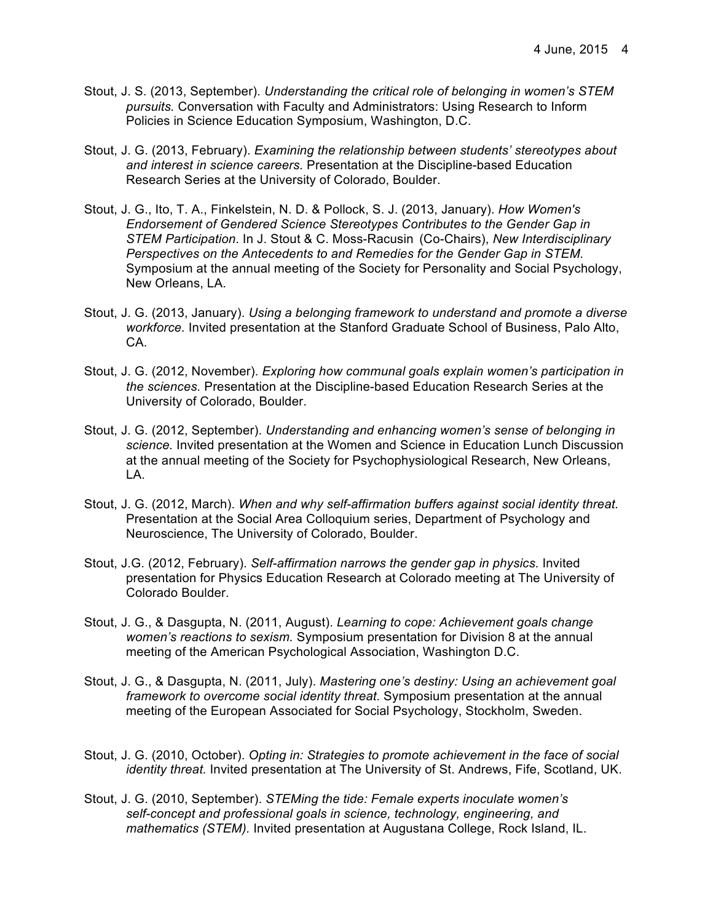- Stout, J. S. (2013, September). *Understanding the critical role of belonging in women's STEM pursuits.* Conversation with Faculty and Administrators: Using Research to Inform Policies in Science Education Symposium, Washington, D.C.
- Stout, J. G. (2013, February). *Examining the relationship between students' stereotypes about and interest in science careers.* Presentation at the Discipline-based Education Research Series at the University of Colorado, Boulder.
- Stout, J. G., Ito, T. A., Finkelstein, N. D. & Pollock, S. J. (2013, January). *How Women's Endorsement of Gendered Science Stereotypes Contributes to the Gender Gap in STEM Participation*. In J. Stout & C. Moss-Racusin (Co-Chairs), *New Interdisciplinary Perspectives on the Antecedents to and Remedies for the Gender Gap in STEM.* Symposium at the annual meeting of the Society for Personality and Social Psychology, New Orleans, LA.
- Stout, J. G. (2013, January). *Using a belonging framework to understand and promote a diverse workforce.* Invited presentation at the Stanford Graduate School of Business, Palo Alto, CA.
- Stout, J. G. (2012, November). *Exploring how communal goals explain women's participation in the sciences.* Presentation at the Discipline-based Education Research Series at the University of Colorado, Boulder.
- Stout, J. G. (2012, September). *Understanding and enhancing women's sense of belonging in science.* Invited presentation at the Women and Science in Education Lunch Discussion at the annual meeting of the Society for Psychophysiological Research, New Orleans, LA.
- Stout, J. G. (2012, March). *When and why self-affirmation buffers against social identity threat.* Presentation at the Social Area Colloquium series, Department of Psychology and Neuroscience, The University of Colorado, Boulder.
- Stout, J.G. (2012, February). *Self-affirmation narrows the gender gap in physics.* Invited presentation for Physics Education Research at Colorado meeting at The University of Colorado Boulder.
- Stout, J. G., & Dasgupta, N. (2011, August). *Learning to cope: Achievement goals change women's reactions to sexism.* Symposium presentation for Division 8 at the annual meeting of the American Psychological Association, Washington D.C.
- Stout, J. G., & Dasgupta, N. (2011, July). *Mastering one's destiny: Using an achievement goal framework to overcome social identity threat.* Symposium presentation at the annual meeting of the European Associated for Social Psychology, Stockholm, Sweden.
- Stout, J. G. (2010, October). *Opting in: Strategies to promote achievement in the face of social identity threat.* Invited presentation at The University of St. Andrews, Fife, Scotland, UK.
- Stout, J. G. (2010, September). *STEMing the tide: Female experts inoculate women's self-concept and professional goals in science, technology, engineering, and mathematics (STEM).* Invited presentation at Augustana College, Rock Island, IL.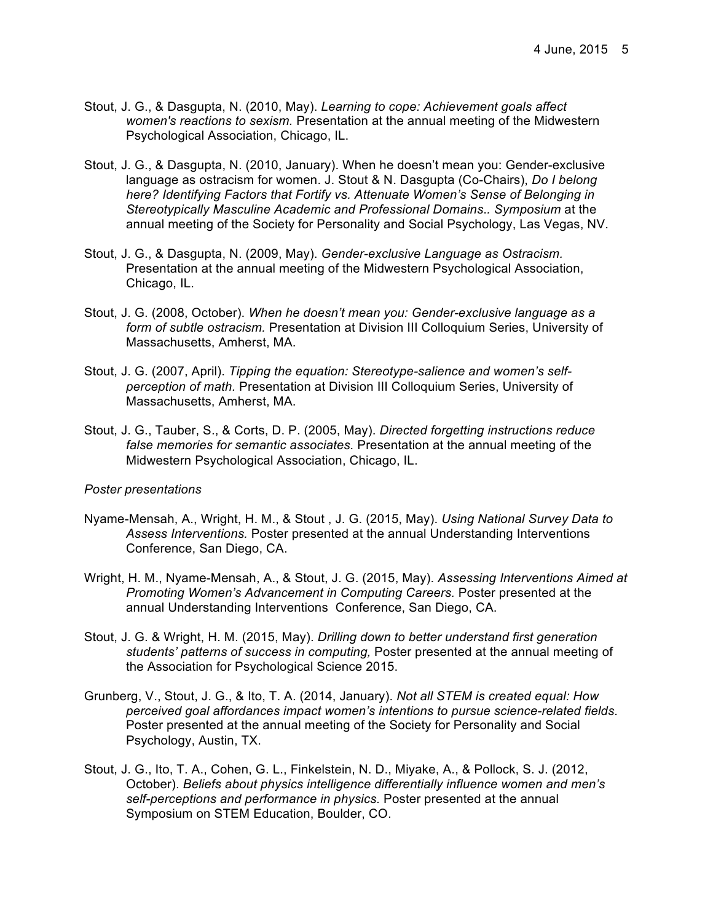- Stout, J. G., & Dasgupta, N. (2010, May). *Learning to cope: Achievement goals affect women's reactions to sexism.* Presentation at the annual meeting of the Midwestern Psychological Association, Chicago, IL.
- Stout, J. G., & Dasgupta, N. (2010, January). When he doesn't mean you: Gender-exclusive language as ostracism for women. J. Stout & N. Dasgupta (Co-Chairs), *Do I belong here? Identifying Factors that Fortify vs. Attenuate Women's Sense of Belonging in Stereotypically Masculine Academic and Professional Domains*.*. Symposium* at the annual meeting of the Society for Personality and Social Psychology, Las Vegas, NV.
- Stout, J. G., & Dasgupta, N. (2009, May). *Gender-exclusive Language as Ostracism.*  Presentation at the annual meeting of the Midwestern Psychological Association, Chicago, IL.
- Stout, J. G. (2008, October). *When he doesn't mean you: Gender-exclusive language as a form of subtle ostracism.* Presentation at Division III Colloquium Series, University of Massachusetts, Amherst, MA.
- Stout, J. G. (2007, April). *Tipping the equation: Stereotype-salience and women's selfperception of math.* Presentation at Division III Colloquium Series, University of Massachusetts, Amherst, MA.
- Stout, J. G., Tauber, S., & Corts, D. P. (2005, May). *Directed forgetting instructions reduce false memories for semantic associates.* Presentation at the annual meeting of the Midwestern Psychological Association, Chicago, IL.

#### *Poster presentations*

- Nyame-Mensah, A., Wright, H. M., & Stout , J. G. (2015, May). *Using National Survey Data to Assess Interventions.* Poster presented at the annual Understanding Interventions Conference, San Diego, CA.
- Wright, H. M., Nyame-Mensah, A., & Stout, J. G. (2015, May). *Assessing Interventions Aimed at Promoting Women's Advancement in Computing Careers.* Poster presented at the annual Understanding Interventions Conference, San Diego, CA.
- Stout, J. G. & Wright, H. M. (2015, May). *Drilling down to better understand first generation students' patterns of success in computing,* Poster presented at the annual meeting of the Association for Psychological Science 2015.
- Grunberg, V., Stout, J. G., & Ito, T. A. (2014, January). *Not all STEM is created equal: How perceived goal affordances impact women's intentions to pursue science-related fields*. Poster presented at the annual meeting of the Society for Personality and Social Psychology, Austin, TX.
- Stout, J. G., Ito, T. A., Cohen, G. L., Finkelstein, N. D., Miyake, A., & Pollock, S. J. (2012, October). *Beliefs about physics intelligence differentially influence women and men's self-perceptions and performance in physics.* Poster presented at the annual Symposium on STEM Education, Boulder, CO.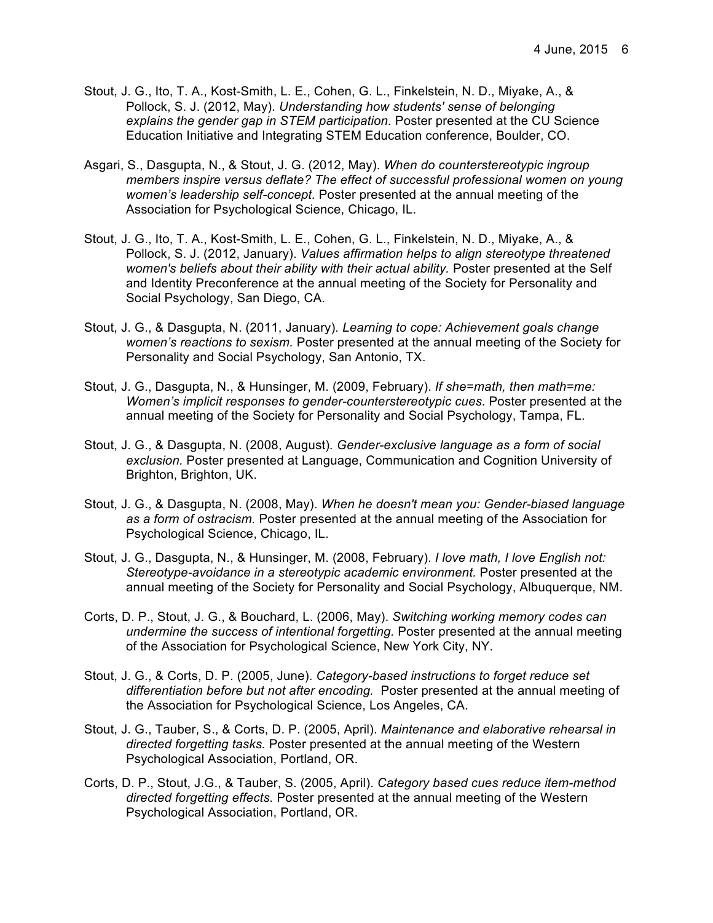- Stout, J. G., Ito, T. A., Kost-Smith, L. E., Cohen, G. L., Finkelstein, N. D., Miyake, A., & Pollock, S. J. (2012, May). *Understanding how students' sense of belonging explains the gender gap in STEM participation.* Poster presented at the CU Science Education Initiative and Integrating STEM Education conference, Boulder, CO.
- Asgari, S., Dasgupta, N., & Stout, J. G. (2012, May). *When do counterstereotypic ingroup members inspire versus deflate? The effect of successful professional women on young women's leadership self-concept.* Poster presented at the annual meeting of the Association for Psychological Science, Chicago, IL.
- Stout, J. G., Ito, T. A., Kost-Smith, L. E., Cohen, G. L., Finkelstein, N. D., Miyake, A., & Pollock, S. J. (2012, January). *Values affirmation helps to align stereotype threatened women's beliefs about their ability with their actual ability.* Poster presented at the Self and Identity Preconference at the annual meeting of the Society for Personality and Social Psychology, San Diego, CA.
- Stout, J. G., & Dasgupta, N. (2011, January)*. Learning to cope: Achievement goals change women's reactions to sexism.* Poster presented at the annual meeting of the Society for Personality and Social Psychology, San Antonio, TX.
- Stout, J. G., Dasgupta, N., & Hunsinger, M. (2009, February). *If she=math, then math=me: Women's implicit responses to gender-counterstereotypic cues.* Poster presented at the annual meeting of the Society for Personality and Social Psychology, Tampa, FL.
- Stout, J. G., & Dasgupta, N. (2008, August)*. Gender-exclusive language as a form of social exclusion.* Poster presented at Language, Communication and Cognition University of Brighton, Brighton, UK.
- Stout, J. G., & Dasgupta, N. (2008, May). *When he doesn't mean you: Gender-biased language as a form of ostracism.* Poster presented at the annual meeting of the Association for Psychological Science, Chicago, IL.
- Stout, J. G., Dasgupta, N., & Hunsinger, M. (2008, February). *I love math, I love English not: Stereotype-avoidance in a stereotypic academic environment.* Poster presented at the annual meeting of the Society for Personality and Social Psychology, Albuquerque, NM.
- Corts, D. P., Stout, J. G., & Bouchard, L. (2006, May). *Switching working memory codes can undermine the success of intentional forgetting.* Poster presented at the annual meeting of the Association for Psychological Science, New York City, NY.
- Stout, J. G., & Corts, D. P. (2005, June). *Category-based instructions to forget reduce set differentiation before but not after encoding.* Poster presented at the annual meeting of the Association for Psychological Science, Los Angeles, CA.
- Stout, J. G., Tauber, S., & Corts, D. P. (2005, April). *Maintenance and elaborative rehearsal in directed forgetting tasks.* Poster presented at the annual meeting of the Western Psychological Association, Portland, OR.
- Corts, D. P., Stout, J.G., & Tauber, S. (2005, April). *Category based cues reduce item-method directed forgetting effects.* Poster presented at the annual meeting of the Western Psychological Association, Portland, OR.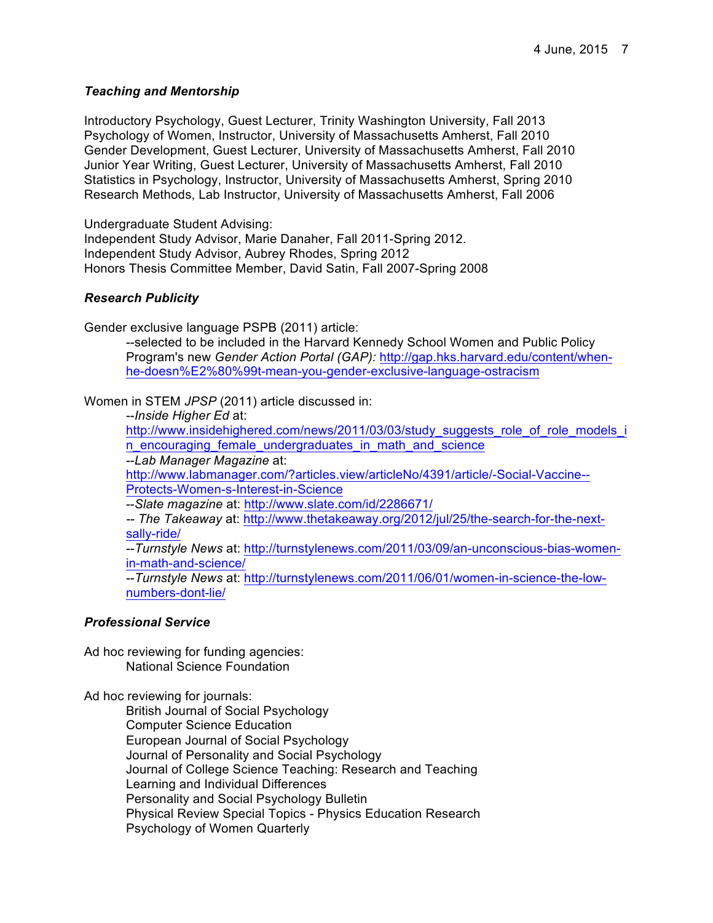## *Teaching and Mentorship*

Introductory Psychology, Guest Lecturer, Trinity Washington University, Fall 2013 Psychology of Women, Instructor, University of Massachusetts Amherst, Fall 2010 Gender Development, Guest Lecturer, University of Massachusetts Amherst, Fall 2010 Junior Year Writing, Guest Lecturer, University of Massachusetts Amherst, Fall 2010 Statistics in Psychology, Instructor, University of Massachusetts Amherst, Spring 2010 Research Methods, Lab Instructor, University of Massachusetts Amherst, Fall 2006

Undergraduate Student Advising:

Independent Study Advisor, Marie Danaher, Fall 2011-Spring 2012. Independent Study Advisor, Aubrey Rhodes, Spring 2012 Honors Thesis Committee Member, David Satin, Fall 2007-Spring 2008

## *Research Publicity*

Gender exclusive language PSPB (2011) article:

--selected to be included in the Harvard Kennedy School Women and Public Policy Program's new *Gender Action Portal (GAP):* http://gap.hks.harvard.edu/content/whenhe-doesn%E2%80%99t-mean-you-gender-exclusive-language-ostracism

Women in STEM *JPSP* (2011) article discussed in:

--*Inside Higher Ed* at:

http://www.insidehighered.com/news/2011/03/03/study\_suggests\_role\_of\_role\_models\_i n encouraging female undergraduates in math and science

--*Lab Manager Magazine* at: http://www.labmanager.com/?articles.view/articleNo/4391/article/-Social-Vaccine-- Protects-Women-s-Interest-in-Science

--*Slate magazine* at: http://www.slate.com/id/2286671/

*-- The Takeaway* at: http://www.thetakeaway.org/2012/jul/25/the-search-for-the-nextsally-ride/

--*Turnstyle News* at: http://turnstylenews.com/2011/03/09/an-unconscious-bias-womenin-math-and-science/

--*Turnstyle News* at: http://turnstylenews.com/2011/06/01/women-in-science-the-lownumbers-dont-lie/

#### *Professional Service*

Ad hoc reviewing for funding agencies: National Science Foundation

Ad hoc reviewing for journals:

British Journal of Social Psychology Computer Science Education European Journal of Social Psychology Journal of Personality and Social Psychology Journal of College Science Teaching: Research and Teaching Learning and Individual Differences Personality and Social Psychology Bulletin Physical Review Special Topics - Physics Education Research Psychology of Women Quarterly